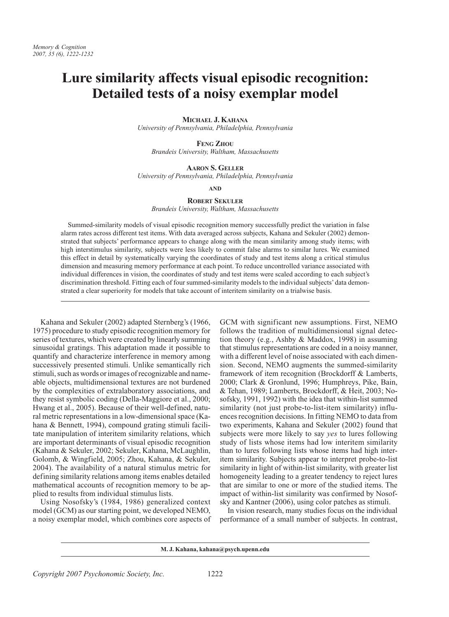# Lure similarity affects visual episodic recognition: Detailed tests of a noisy exemplar model

MICHAEL J. KAHANA

University of Pennsylvania, Philadelphia, Pennsylvania

**FENG ZHOU** Brandeis University, Waltham, Massachusetts

## **AARON S. GELLER**

University of Pennsylvania, Philadelphia, Pennsylvania

## **AND**

## **ROBERT SEKILER**

Brandeis University, Waltham, Massachusetts

Summed-similarity models of visual episodic recognition memory successfully predict the variation in false alarm rates across different test items. With data averaged across subjects, Kahana and Sekuler (2002) demonstrated that subjects' performance appears to change along with the mean similarity among study items; with high interstimulus similarity, subjects were less likely to commit false alarms to similar lures. We examined this effect in detail by systematically varying the coordinates of study and test items along a critical stimulus dimension and measuring memory performance at each point. To reduce uncontrolled variance associated with individual differences in vision, the coordinates of study and test items were scaled according to each subject's discrimination threshold. Fitting each of four summed-similarity models to the individual subjects' data demonstrated a clear superiority for models that take account of interitem similarity on a trialwise basis.

Kahana and Sekuler (2002) adapted Sternberg's (1966, 1975) procedure to study episodic recognition memory for series of textures, which were created by linearly summing sinusoidal gratings. This adaptation made it possible to quantify and characterize interference in memory among successively presented stimuli. Unlike semantically rich stimuli, such as words or images of recognizable and nameable objects, multidimensional textures are not burdened by the complexities of extralaboratory associations, and they resist symbolic coding (Della-Maggiore et al., 2000; Hwang et al., 2005). Because of their well-defined, natural metric representations in a low-dimensional space (Kahana & Bennett, 1994), compound grating stimuli facilitate manipulation of interitem similarity relations, which are important determinants of visual episodic recognition (Kahana & Sekuler, 2002; Sekuler, Kahana, McLaughlin, Golomb, & Wingfield, 2005; Zhou, Kahana, & Sekuler, 2004). The availability of a natural stimulus metric for defining similarity relations among items enables detailed mathematical accounts of recognition memory to be applied to results from individual stimulus lists.

Using Nosofsky's (1984, 1986) generalized context model (GCM) as our starting point, we developed NEMO, a noisy exemplar model, which combines core aspects of GCM with significant new assumptions. First, NEMO follows the tradition of multidimensional signal detection theory (e.g., Ashby & Maddox, 1998) in assuming that stimulus representations are coded in a noisy manner, with a different level of noise associated with each dimension. Second, NEMO augments the summed-similarity framework of item recognition (Brockdorff & Lamberts, 2000; Clark & Gronlund, 1996; Humphreys, Pike, Bain, & Tehan, 1989; Lamberts, Brockdorff, & Heit, 2003; Nosofsky, 1991, 1992) with the idea that within-list summed similarity (not just probe-to-list-item similarity) influences recognition decisions. In fitting NEMO to data from two experiments, Kahana and Sekuler (2002) found that subjects were more likely to say yes to lures following study of lists whose items had low interitem similarity than to lures following lists whose items had high interitem similarity. Subjects appear to interpret probe-to-list similarity in light of within-list similarity, with greater list homogeneity leading to a greater tendency to reject lures that are similar to one or more of the studied items. The impact of within-list similarity was confirmed by Nosofsky and Kantner (2006), using color patches as stimuli.

In vision research, many studies focus on the individual performance of a small number of subjects. In contrast,

M. J. Kahana, kahana@psych.upenn.edu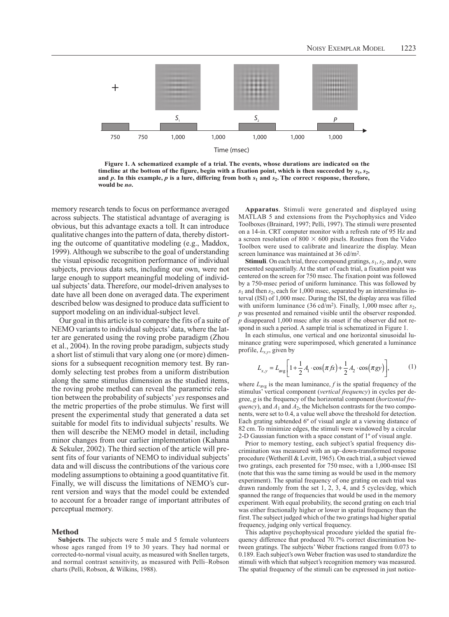

Figure 1. A schematized example of a trial. The events, whose durations are indicated on the timeline at the bottom of the figure, begin with a fixation point, which is then succeeded by  $s_1$ ,  $s_2$ , and  $p$ . In this example,  $p$  is a lure, differing from both  $s_1$  and  $s_2$ . The correct response, therefore, would be no.

memory research tends to focus on performance averaged across subjects. The statistical advantage of averaging is obvious, but this advantage exacts a toll. It can introduce qualitative changes into the pattern of data, thereby distorting the outcome of quantitative modeling (e.g., Maddox, 1999). Although we subscribe to the goal of understanding the visual episodic recognition performance of individual subjects, previous data sets, including our own, were not large enough to support meaningful modeling of individual subjects' data. Therefore, our model-driven analyses to date have all been done on averaged data. The experiment described below was designed to produce data sufficient to support modeling on an individual-subject level.

Our goal in this article is to compare the fits of a suite of NEMO variants to individual subjects' data, where the latter are generated using the roving probe paradigm (Zhou et al., 2004). In the roving probe paradigm, subjects study a short list of stimuli that vary along one (or more) dimensions for a subsequent recognition memory test. By randomly selecting test probes from a uniform distribution along the same stimulus dimension as the studied items, the roving probe method can reveal the parametric relation between the probability of subjects' yes responses and the metric properties of the probe stimulus. We first will present the experimental study that generated a data set suitable for model fits to individual subjects' results. We then will describe the NEMO model in detail, including minor changes from our earlier implementation (Kahana & Sekuler, 2002). The third section of the article will present fits of four variants of NEMO to individual subjects' data and will discuss the contributions of the various core modeling assumptions to obtaining a good quantitative fit. Finally, we will discuss the limitations of NEMO's current version and ways that the model could be extended to account for a broader range of important attributes of perceptual memory.

## **Method**

Subjects. The subjects were 5 male and 5 female volunteers whose ages ranged from 19 to 30 years. They had normal or corrected-to-normal visual acuity, as measured with Snellen targets, and normal contrast sensitivity, as measured with Pelli-Robson charts (Pelli, Robson, & Wilkins, 1988).

Apparatus. Stimuli were generated and displayed using MATLAB 5 and extensions from the Psychophysics and Video Toolboxes (Brainard, 1997; Pelli, 1997). The stimuli were presented on a 14-in. CRT computer monitor with a refresh rate of 95 Hz and a screen resolution of 800  $\times$  600 pixels. Routines from the Video Toolbox were used to calibrate and linearize the display. Mean screen luminance was maintained at 36 cd/m<sup>2</sup>.

**Stimuli**. On each trial, three compound gratings,  $s_1$ ,  $s_2$ , and p, were presented sequentially. At the start of each trial, a fixation point was centered on the screen for 750 msec. The fixation point was followed by a 750-msec period of uniform luminance. This was followed by  $s_1$  and then  $s_2$ , each for 1,000 msec, separated by an interstimulus interval (ISI) of 1,000 msec. During the ISI, the display area was filled with uniform luminance (36 cd/m<sup>2</sup>). Finally, 1,000 msec after  $s_2$ ,  $p$  was presented and remained visible until the observer responded.  $p$  disappeared 1,000 msec after its onset if the observer did not respond in such a period. A sample trial is schematized in Figure 1.

In each stimulus, one vertical and one horizontal sinusoidal luminance grating were superimposed, which generated a luminance profile,  $L_{x,y}$ , given by

$$
L_{x,y} = L_{avg} \left[ 1 + \frac{1}{2} A_1 \cdot \cos(\pi f x) + \frac{1}{2} A_2 \cdot \cos(\pi g y) \right],
$$
 (1)

where  $L_{avg}$  is the mean luminance, f is the spatial frequency of the stimulus' vertical component (vertical frequency) in cycles per degree, g is the frequency of the horizontal component (horizontal fre*quency*), and  $A_1$  and  $A_2$ , the Michelson contrasts for the two components, were set to 0.4, a value well above the threshold for detection. Each grating subtended 6° of visual angle at a viewing distance of 82 cm. To minimize edges, the stimuli were windowed by a circular 2-D Gaussian function with a space constant of  $1^{\circ}$  of visual angle.

Prior to memory testing, each subject's spatial frequency discrimination was measured with an up-down-transformed response procedure (Wetherill & Levitt, 1965). On each trial, a subject viewed two gratings, each presented for 750 msec, with a 1,000-msec ISI (note that this was the same timing as would be used in the memory experiment). The spatial frequency of one grating on each trial was drawn randomly from the set  $1, 2, 3, 4$ , and  $5$  cycles/deg, which spanned the range of frequencies that would be used in the memory experiment. With equal probability, the second grating on each trial was either fractionally higher or lower in spatial frequency than the first. The subject judged which of the two gratings had higher spatial frequency, judging only vertical frequency.

This adaptive psychophysical procedure yielded the spatial frequency difference that produced 70.7% correct discrimination between gratings. The subjects' Weber fractions ranged from 0.073 to 0.189. Each subject's own Weber fraction was used to standardize the stimuli with which that subject's recognition memory was measured. The spatial frequency of the stimuli can be expressed in just notice-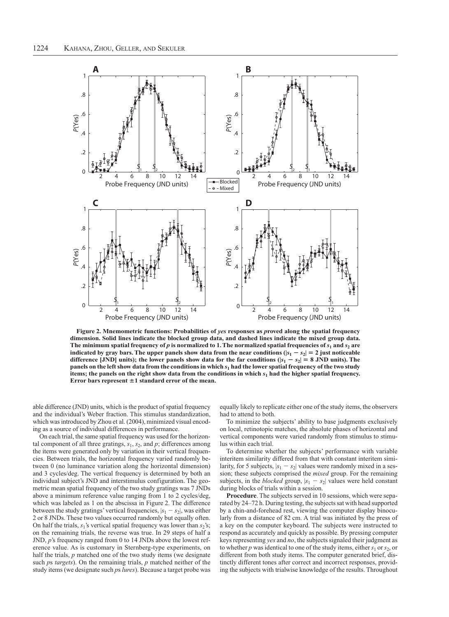

Figure 2. Mnemometric functions: Probabilities of ves responses as proved along the spatial frequency dimension. Solid lines indicate the blocked group data, and dashed lines indicate the mixed group data. The minimum spatial frequency of p is normalized to 1. The normalized spatial frequencies of  $s_1$  and  $s_2$  are indicated by gray bars. The upper panels show data from the near conditions ( $|s_1 - s_2| = 2$  just noticeable difference [JND] units); the lower panels show data for the far conditions ( $|s_1 - s_2| = 8$  JND units). The panels on the left show data from the conditions in which s<sub>1</sub> had the lower spatial frequency of the two study items; the panels on the right show data from the conditions in which  $s_1$  had the higher spatial frequency. Error bars represent  $\pm 1$  standard error of the mean.

able difference (JND) units, which is the product of spatial frequency and the individual's Weber fraction. This stimulus standardization, which was introduced by Zhou et al. (2004), minimized visual encoding as a source of individual differences in performance.

On each trial, the same spatial frequency was used for the horizontal component of all three gratings,  $s_1$ ,  $s_2$ , and  $p$ ; differences among the items were generated only by variation in their vertical frequencies. Between trials, the horizontal frequency varied randomly between 0 (no luminance variation along the horizontal dimension) and 3 cycles/deg. The vertical frequency is determined by both an individual subject's JND and interstimulus configuration. The geometric mean spatial frequency of the two study gratings was 7 JNDs above a minimum reference value ranging from 1 to 2 cycles/deg, which was labeled as 1 on the abscissa in Figure 2. The difference between the study gratings' vertical frequencies,  $|s_1 - s_2|$ , was either 2 or 8 JNDs. These two values occurred randomly but equally often. On half the trials,  $s_1$ 's vertical spatial frequency was lower than  $s_2$ 's; on the remaining trials, the reverse was true. In 29 steps of half a JND,  $p$ 's frequency ranged from 0 to 14 JNDs above the lowest reference value. As is customary in Sternberg-type experiments, on half the trials,  $p$  matched one of the two study items (we designate such  $ps$  targets). On the remaining trials,  $p$  matched neither of the study items (we designate such ps lures). Because a target probe was

equally likely to replicate either one of the study items, the observers had to attend to both.

To minimize the subjects' ability to base judgments exclusively on local, retinotopic matches, the absolute phases of horizontal and vertical components were varied randomly from stimulus to stimulus within each trial.

To determine whether the subjects' performance with variable interitem similarity differed from that with constant interitem similarity, for 5 subjects,  $|s_1 - s_2|$  values were randomly mixed in a session; these subjects comprised the *mixed* group. For the remaining subjects, in the *blocked* group,  $|s_1 - s_2|$  values were held constant during blocks of trials within a session.

**Procedure**. The subjects served in 10 sessions, which were separated by 24–72 h. During testing, the subjects sat with head supported by a chin-and-forehead rest, viewing the computer display binocularly from a distance of 82 cm. A trial was initiated by the press of a key on the computer keyboard. The subjects were instructed to respond as accurately and quickly as possible. By pressing computer keys representing yes and no, the subjects signaled their judgment as to whether p was identical to one of the study items, either  $s_1$  or  $s_2$ , or different from both study items. The computer generated brief, distinctly different tones after correct and incorrect responses, providing the subjects with trialwise knowledge of the results. Throughout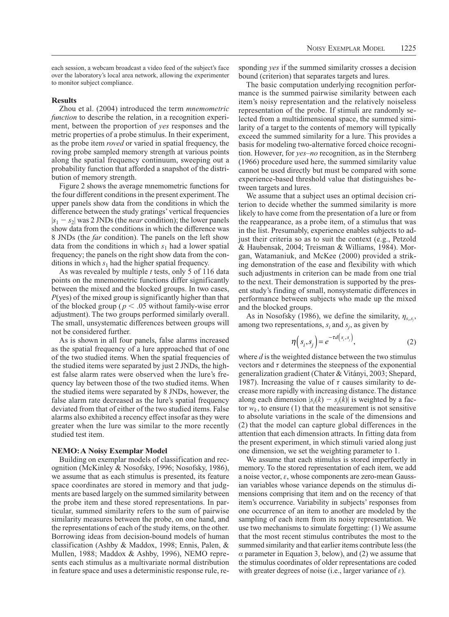each session, a webcam broadcast a video feed of the subject's face over the laboratory's local area network, allowing the experimenter to monitor subject compliance.

# **Results**

Zhou et al. (2004) introduced the term mnemometric *function* to describe the relation, in a recognition experiment, between the proportion of yes responses and the metric properties of a probe stimulus. In their experiment, as the probe item *roved* or varied in spatial frequency, the roving probe sampled memory strength at various points along the spatial frequency continuum, sweeping out a probability function that afforded a snapshot of the distribution of memory strength.

Figure 2 shows the average mnemometric functions for the four different conditions in the present experiment. The upper panels show data from the conditions in which the difference between the study gratings' vertical frequencies  $|s_1 - s_2|$  was 2 JNDs (the *near* condition); the lower panels show data from the conditions in which the difference was 8 JNDs (the *far* condition). The panels on the left show data from the conditions in which  $s_1$  had a lower spatial frequency; the panels on the right show data from the conditions in which  $s_1$  had the higher spatial frequency.

As was revealed by multiple *t* tests, only 5 of 116 data points on the mnemometric functions differ significantly between the mixed and the blocked groups. In two cases,  $P(yes)$  of the mixed group is significantly higher than that of the blocked group ( $p < .05$  without family-wise error adjustment). The two groups performed similarly overall. The small, unsystematic differences between groups will not be considered further.

As is shown in all four panels, false alarms increased as the spatial frequency of a lure approached that of one of the two studied items. When the spatial frequencies of the studied items were separated by just 2 JNDs, the highest false alarm rates were observed when the lure's frequency lay between those of the two studied items. When the studied items were separated by 8 JNDs, however, the false alarm rate decreased as the lure's spatial frequency deviated from that of either of the two studied items. False alarms also exhibited a recency effect insofar as they were greater when the lure was similar to the more recently studied test item.

## **NEMO: A Noisy Exemplar Model**

Building on exemplar models of classification and recognition (McKinley & Nosofsky, 1996; Nosofsky, 1986), we assume that as each stimulus is presented, its feature space coordinates are stored in memory and that judgments are based largely on the summed similarity between the probe item and these stored representations. In particular, summed similarity refers to the sum of pairwise similarity measures between the probe, on one hand, and the representations of each of the study items, on the other. Borrowing ideas from decision-bound models of human classification (Ashby & Maddox, 1998; Ennis, Palen, & Mullen, 1988; Maddox & Ashby, 1996), NEMO represents each stimulus as a multivariate normal distribution in feature space and uses a deterministic response rule, responding yes if the summed similarity crosses a decision bound (criterion) that separates targets and lures.

The basic computation underlying recognition performance is the summed pairwise similarity between each item's noisy representation and the relatively noiseless representation of the probe. If stimuli are randomly selected from a multidimensional space, the summed similarity of a target to the contents of memory will typically exceed the summed similarity for a lure. This provides a basis for modeling two-alternative forced choice recognition. However, for yes-no recognition, as in the Sternberg (1966) procedure used here, the summed similarity value cannot be used directly but must be compared with some experience-based threshold value that distinguishes between targets and lures.

We assume that a subject uses an optimal decision criterion to decide whether the summed similarity is more likely to have come from the presentation of a lure or from the reappearance, as a probe item, of a stimulus that was in the list. Presumably, experience enables subjects to adjust their criteria so as to suit the context (e.g., Petzold & Haubensak, 2004; Treisman & Williams, 1984). Morgan, Watamaniuk, and McKee (2000) provided a striking demonstration of the ease and flexibility with which such adjustments in criterion can be made from one trial to the next. Their demonstration is supported by the present study's finding of small, nonsystematic differences in performance between subjects who made up the mixed and the blocked groups.

As in Nosofsky (1986), we define the similarity,  $\eta_{s,s}$ , among two representations,  $s_i$  and  $s_j$ , as given by

$$
\eta(s_i, s_j) = e^{-\tau d(s_i, s_j)},\tag{2}
$$

where  $d$  is the weighted distance between the two stimulus vectors and  $\tau$  determines the steepness of the exponential generalization gradient (Chater & Vitányi, 2003; Shepard, 1987). Increasing the value of  $\tau$  causes similarity to decrease more rapidly with increasing distance. The distance along each dimension  $|s_i(k) - s_i(k)|$  is weighted by a factor  $w_k$ , to ensure (1) that the measurement is not sensitive to absolute variations in the scale of the dimensions and (2) that the model can capture global differences in the attention that each dimension attracts. In fitting data from the present experiment, in which stimuli varied along just one dimension, we set the weighting parameter to 1.

We assume that each stimulus is stored imperfectly in memory. To the stored representation of each item, we add a noise vector,  $\varepsilon$ , whose components are zero-mean Gaussian variables whose variance depends on the stimulus dimensions comprising that item and on the recency of that item's occurrence. Variability in subjects' responses from one occurrence of an item to another are modeled by the sampling of each item from its noisy representation. We use two mechanisms to simulate forgetting: (1) We assume that the most recent stimulus contributes the most to the summed similarity and that earlier items contribute less (the  $\alpha$  parameter in Equation 3, below), and (2) we assume that the stimulus coordinates of older representations are coded with greater degrees of noise (i.e., larger variance of  $\varepsilon$ ).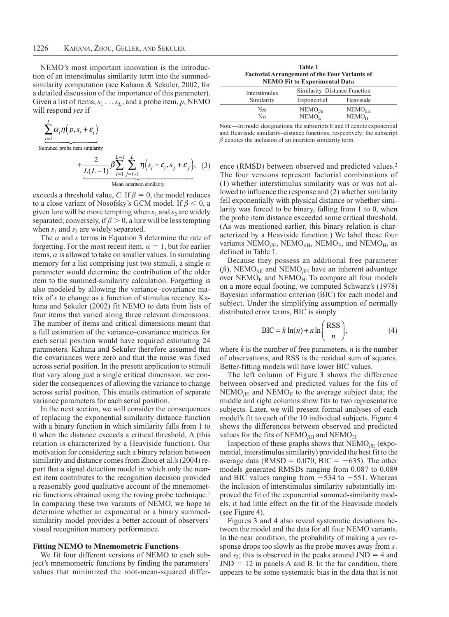NEMO's most important innovation is the introduction of an interstimulus similarity term into the summedsimilarity computation (see Kahana & Sekuler, 2002, for a detailed discussion of the importance of this parameter). Given a list of items,  $s_1 \dots s_L$ , and a probe item, p, NEMO will respond yes if

$$
\sum_{i=1}^{L} \alpha_i \eta(p, s_i + \varepsilon_i)
$$
\n
$$
+ \frac{2}{L(L-1)} \beta \sum_{i=1}^{L-1} \sum_{j=i+1}^{L} \eta(s_i + \varepsilon_i, s_j + \varepsilon_j), \quad (3
$$

 $S<sub>1</sub>$ 

exceeds a threshold value, C. If  $\beta = 0$ , the model reduces to a close variant of Nosofsky's GCM model. If  $\beta$  < 0, a given lure will be more tempting when  $s_1$  and  $s_2$  are widely separated; conversely, if  $\beta > 0$ , a lure will be less tempting when  $s_1$  and  $s_2$  are widely separated.

The  $\alpha$  and  $\varepsilon$  terms in Equation 3 determine the rate of forgetting. For the most recent item,  $\alpha = 1$ , but for earlier items,  $\alpha$  is allowed to take on smaller values. In simulating memory for a list comprising just two stimuli, a single  $\alpha$ parameter would determine the contribution of the older item to the summed-similarity calculation. Forgetting is also modeled by allowing the variance-covariance matrix of  $\varepsilon$  to change as a function of stimulus recency. Kahana and Sekuler (2002) fit NEMO to data from lists of four items that varied along three relevant dimensions. The number of items and critical dimensions meant that a full estimation of the variance-covariance matrices for each serial position would have required estimating 24 parameters. Kahana and Sekuler therefore assumed that the covariances were zero and that the noise was fixed across serial position. In the present application to stimuli that vary along just a single critical dimension, we consider the consequences of allowing the variance to change across serial position. This entails estimation of separate variance parameters for each serial position.

In the next section, we will consider the consequences of replacing the exponential similarity distance function with a binary function in which similarity falls from 1 to 0 when the distance exceeds a critical threshold.  $\Delta$  (this relation is characterized by a Heaviside function). Our motivation for considering such a binary relation between similarity and distance comes from Zhou et al.'s (2004) report that a signal detection model in which only the nearest item contributes to the recognition decision provided a reasonably good qualitative account of the mnemometric functions obtained using the roving probe technique.<sup>1</sup> In comparing these two variants of NEMO, we hope to determine whether an exponential or a binary summedsimilarity model provides a better account of observers' visual recognition memory performance.

#### **Fitting NEMO to Mnemometric Functions**

We fit four different versions of NEMO to each subject's mnemometric functions by finding the parameters' values that minimized the root-mean-squared differ-

**Table 1 Factorial Arrangement of the Four Variants of NEMO Fit to Experimental Data** 

| Interstimulus | Similarity–Distance Function |                   |  |
|---------------|------------------------------|-------------------|--|
| Similarity    | Exponential                  | Heaviside         |  |
| Yes           | $NEMO_{\beta E}$             | $NEMO_{\beta H}$  |  |
| N٥            | NEMO <sub>E</sub>            | NEMO <sub>H</sub> |  |

Note—In model designations, the subscripts E and H denote exponential and Heaviside similarity-distance functions, respectively; the subscript  $\beta$  denotes the inclusion of an interitem similarity term.

ence (RMSD) between observed and predicted values.<sup>2</sup> The four versions represent factorial combinations of (1) whether interstimulus similarity was or was not allowed to influence the response and (2) whether similarity fell exponentially with physical distance or whether similarity was forced to be binary, falling from  $1$  to  $0$ , when the probe item distance exceeded some critical threshold. (As was mentioned earlier, this binary relation is characterized by a Heaviside function.) We label these four variants NEMO<sub>BE</sub>, NEMO<sub>BH</sub>, NEMO<sub>E</sub>, and NEMO<sub>H</sub>, as defined in Table 1.

Because they possess an additional free parameter  $(\beta)$ , NEMO<sub> $\beta$ E</sub> and NEMO<sub> $\beta$ H</sub> have an inherent advantage over  $NEMO<sub>E</sub>$  and  $NEMO<sub>H</sub>$ . To compare all four models on a more equal footing, we computed Schwarz's (1978) Bayesian information criterion (BIC) for each model and subject. Under the simplifying assumption of normally distributed error terms, BIC is simply

$$
BIC = k \ln(n) + n \ln\left(\frac{RSS}{n}\right),\tag{4}
$$

where  $k$  is the number of free parameters,  $n$  is the number of observations, and RSS is the residual sum of squares. Better-fitting models will have lower BIC values.

The left column of Figure 3 shows the difference between observed and predicted values for the fits of  $NEMO_{BE}$  and  $NEMO_{E}$  to the average subject data; the middle and right columns show fits to two representative subjects. Later, we will present formal analyses of each model's fit to each of the 10 individual subjects. Figure 4 shows the differences between observed and predicted values for the fits of NEMO<sub> $\beta$ H</sub> and NEMO<sub>H</sub>.

Inspection of these graphs shows that  $NEMO_{BE}$  (exponential, interstimulus similarity) provided the best fit to the average data (RMSD =  $0.070$ , BIC =  $-635$ ). The other models generated RMSDs ranging from 0.087 to 0.089 and BIC values ranging from  $-534$  to  $-551$ . Whereas the inclusion of interstimulus similarity substantially improved the fit of the exponential summed-similarity models, it had little effect on the fit of the Heaviside models (see Figure 4).

Figures 3 and 4 also reveal systematic deviations between the model and the data for all four NEMO variants. In the near condition, the probability of making a yes response drops too slowly as the probe moves away from  $s_1$ and  $s_2$ ; this is observed in the peaks around JND = 4 and  $JND = 12$  in panels A and B. In the far condition, there appears to be some systematic bias in the data that is not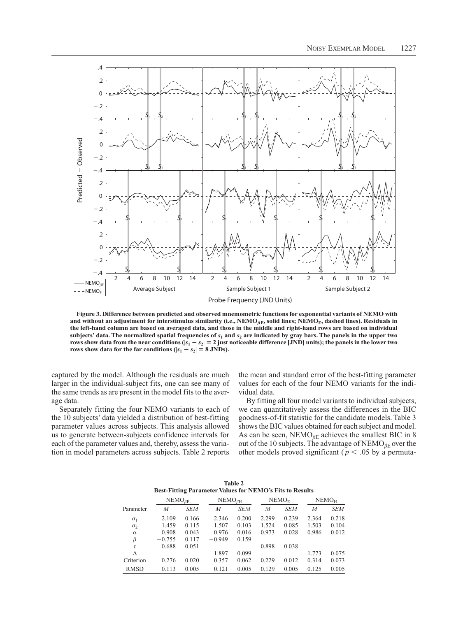

Figure 3. Difference between predicted and observed mnemometric functions for exponential variants of NEMO with and without an adjustment for interstimulus similarity (i.e.,  $NEMO_{BE}$ , solid lines;  $NEMO_{E}$ , dashed lines). Residuals in the left-hand column are based on averaged data, and those in the middle and right-hand rows are based on individual subjects' data. The normalized spatial frequencies of  $s_1$  and  $s_2$  are indicated by gray bars. The panels in the upper two rows show data from the near conditions ( $|s_1 - s_2| = 2$  just noticeable difference [JND] units); the panels in the lower two rows show data for the far conditions ( $|s_1 - s_2| = 8$  JNDs).

captured by the model. Although the residuals are much larger in the individual-subject fits, one can see many of the same trends as are present in the model fits to the average data.

Separately fitting the four NEMO variants to each of the 10 subjects' data yielded a distribution of best-fitting parameter values across subjects. This analysis allowed us to generate between-subjects confidence intervals for each of the parameter values and, thereby, assess the variation in model parameters across subjects. Table 2 reports

the mean and standard error of the best-fitting parameter values for each of the four NEMO variants for the individual data.

By fitting all four model variants to individual subjects, we can quantitatively assess the differences in the BIC goodness-of-fit statistic for the candidate models. Table 3 shows the BIC values obtained for each subject and model. As can be seen,  $NEMO_{\beta E}$  achieves the smallest BIC in 8 out of the 10 subjects. The advantage of  $NEMO_{\beta E}$  over the other models proved significant ( $p < .05$  by a permuta-

| <b>Table 2</b><br><b>Best-Fitting Parameter Values for NEMO's Fits to Results</b> |                                    |            |                                   |            |                   |            |                   |            |
|-----------------------------------------------------------------------------------|------------------------------------|------------|-----------------------------------|------------|-------------------|------------|-------------------|------------|
|                                                                                   | $\mathrm{NEMO}_{\beta \mathrm{E}}$ |            | $\mathrm{NEMO}_{\beta\mathrm{H}}$ |            | NEMO <sub>F</sub> |            | NEMO <sub>H</sub> |            |
| Parameter                                                                         | М                                  | <b>SEM</b> | M                                 | <b>SEM</b> | M                 | <b>SEM</b> | M                 | <b>SEM</b> |
| $\sigma_1$                                                                        | 2.109                              | 0.166      | 2.346                             | 0.200      | 2.299             | 0.239      | 2.364             | 0.218      |
| $\sigma_{2}$                                                                      | 1.459                              | 0.115      | 1.507                             | 0.103      | 1.524             | 0.085      | 1.503             | 0.104      |
| $\alpha$                                                                          | 0.908                              | 0.043      | 0.976                             | 0.016      | 0.973             | 0.028      | 0.986             | 0.012      |
| β                                                                                 | $-0.755$                           | 0.117      | $-0.949$                          | 0.159      |                   |            |                   |            |
| $\tau$                                                                            | 0.688                              | 0.051      |                                   |            | 0.898             | 0.038      |                   |            |
| Δ                                                                                 |                                    |            | 1.897                             | 0.099      |                   |            | 1.773             | 0.075      |
| Criterion                                                                         | 0.276                              | 0.020      | 0.357                             | 0.062      | 0.229             | 0.012      | 0.314             | 0.073      |
| <b>RMSD</b>                                                                       | 0.113                              | 0.005      | 0.121                             | 0.005      | 0.129             | 0.005      | 0.125             | 0.005      |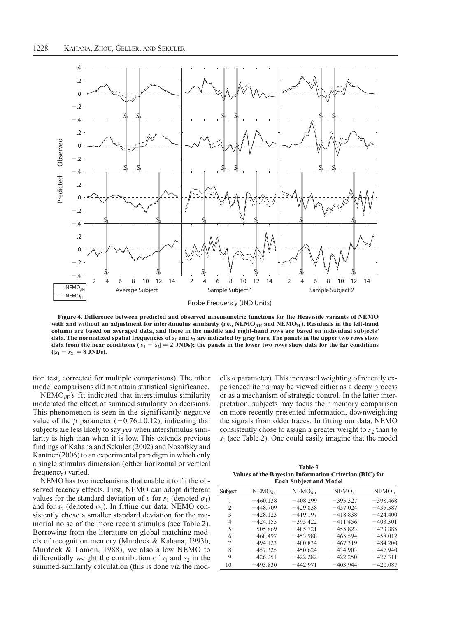

Figure 4. Difference between predicted and observed mnemometric functions for the Heaviside variants of NEMO with and without an adjustment for interstimulus similarity (i.e., NEMO $_{\beta H}$  and NEMO $_{H}$ ). Residuals in the left-hand column are based on averaged data, and those in the middle and right-hand rows are based on individual subjects' data. The normalized spatial frequencies of  $s_1$  and  $s_2$  are indicated by gray bars. The panels in the upper two rows show data from the near conditions ( $|s_1 - s_2| = 2$  JNDs); the panels in the lower two rows show data for the far conditions  $(|s_1 - s_2| = 8$  JNDs).

tion test, corrected for multiple comparisons). The other model comparisons did not attain statistical significance.

 $NEMO_{\beta E}$ 's fit indicated that interstimulus similarity moderated the effect of summed similarity on decisions. This phenomenon is seen in the significantly negative value of the  $\beta$  parameter (-0.76±0.12), indicating that subjects are less likely to say *yes* when interstimulus similarity is high than when it is low. This extends previous findings of Kahana and Sekuler (2002) and Nosofsky and Kantner (2006) to an experimental paradigm in which only a single stimulus dimension (either horizontal or vertical frequency) varied.

NEMO has two mechanisms that enable it to fit the observed recency effects. First, NEMO can adopt different values for the standard deviation of  $\varepsilon$  for  $s_1$  (denoted  $\sigma_1$ ) and for  $s_2$  (denoted  $\sigma_2$ ). In fitting our data, NEMO consistently chose a smaller standard deviation for the memorial noise of the more recent stimulus (see Table 2). Borrowing from the literature on global-matching models of recognition memory (Murdock & Kahana, 1993b; Murdock & Lamon, 1988), we also allow NEMO to differentially weight the contribution of  $s_1$  and  $s_2$  in the summed-similarity calculation (this is done via the mod-

el's  $\alpha$  parameter). This increased weighting of recently experienced items may be viewed either as a decay process or as a mechanism of strategic control. In the latter interpretation, subjects may focus their memory comparison on more recently presented information, downweighting the signals from older traces. In fitting our data, NEMO consistently chose to assign a greater weight to  $s_2$  than to  $s_1$  (see Table 2). One could easily imagine that the model

Table 3 Values of the Bayesian Information Criterion (BIC) for **Each Subject and Model** 

| Subject | $NEMO_{\beta E}$ | $NEMO\beta H$ | NEMO <sub>F</sub> | NEMO <sub>H</sub> |  |  |
|---------|------------------|---------------|-------------------|-------------------|--|--|
|         | $-460.138$       | $-408.299$    | $-395.327$        | $-398.468$        |  |  |
| 2       | $-448.709$       | $-429.838$    | $-457.024$        | $-435.387$        |  |  |
| 3       | $-428.123$       | $-419.197$    | $-418.838$        | $-424.400$        |  |  |
| 4       | $-424.155$       | $-395.422$    | $-411.456$        | $-403.301$        |  |  |
| 5       | $-505.869$       | $-485.721$    | $-455.823$        | $-473.885$        |  |  |
| 6       | $-468.497$       | $-453.988$    | $-465.594$        | $-458.012$        |  |  |
| 7       | $-494.123$       | $-480.834$    | $-467.319$        | $-484.200$        |  |  |
| 8       | $-457.325$       | $-450.624$    | $-434.903$        | $-447.940$        |  |  |
| 9       | $-426.251$       | $-422.282$    | $-422.250$        | $-427.311$        |  |  |
| 10      | $-493.830$       | $-442.971$    | $-403.944$        | $-420.087$        |  |  |
|         |                  |               |                   |                   |  |  |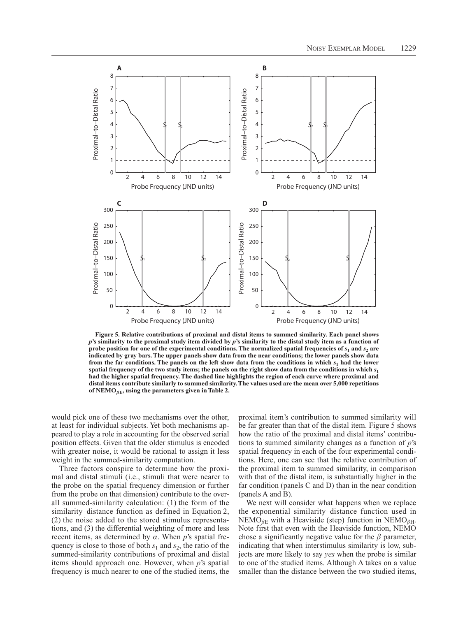

Figure 5. Relative contributions of proximal and distal items to summed similarity. Each panel shows  $p$ 's similarity to the proximal study item divided by  $p$ 's similarity to the distal study item as a function of probe position for one of the experimental conditions. The normalized spatial frequencies of  $s_1$  and  $s_2$  are indicated by gray bars. The upper panels show data from the near conditions; the lower panels show data from the far conditions. The panels on the left show data from the conditions in which  $s_1$  had the lower spatial frequency of the two study items; the panels on the right show data from the conditions in which  $s_1$ had the higher spatial frequency. The dashed line highlights the region of each curve where proximal and distal items contribute similarly to summed similarity. The values used are the mean over 5,000 repetitions of NEMO<sub> $\beta$ E</sub>, using the parameters given in Table 2.

would pick one of these two mechanisms over the other, at least for individual subjects. Yet both mechanisms appeared to play a role in accounting for the observed serial position effects. Given that the older stimulus is encoded with greater noise, it would be rational to assign it less weight in the summed-similarity computation.

Three factors conspire to determine how the proximal and distal stimuli (i.e., stimuli that were nearer to the probe on the spatial frequency dimension or further from the probe on that dimension) contribute to the overall summed-similarity calculation: (1) the form of the similarity-distance function as defined in Equation 2, (2) the noise added to the stored stimulus representations, and (3) the differential weighting of more and less recent items, as determined by  $\alpha$ . When p's spatial frequency is close to those of both  $s_1$  and  $s_2$ , the ratio of the summed-similarity contributions of proximal and distal items should approach one. However, when  $p$ 's spatial frequency is much nearer to one of the studied items, the proximal item's contribution to summed similarity will be far greater than that of the distal item. Figure 5 shows how the ratio of the proximal and distal items' contributions to summed similarity changes as a function of  $p$ 's spatial frequency in each of the four experimental conditions. Here, one can see that the relative contribution of the proximal item to summed similarity, in comparison with that of the distal item, is substantially higher in the far condition (panels  $C$  and  $D$ ) than in the near condition (panels A and B).

We next will consider what happens when we replace the exponential similarity-distance function used in NEMO<sub>BE</sub> with a Heaviside (step) function in NEMO<sub>BH</sub>. Note first that even with the Heaviside function, NEMO chose a significantly negative value for the  $\beta$  parameter, indicating that when interstimulus similarity is low, subjects are more likely to say *yes* when the probe is similar to one of the studied items. Although  $\Delta$  takes on a value smaller than the distance between the two studied items.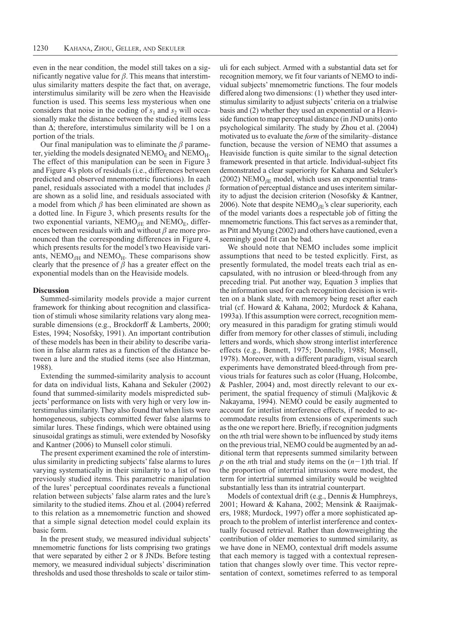even in the near condition, the model still takes on a significantly negative value for  $\beta$ . This means that interstimulus similarity matters despite the fact that, on average, interstimulus similarity will be zero when the Heaviside function is used. This seems less mysterious when one considers that noise in the coding of  $s_1$  and  $s_2$  will occasionally make the distance between the studied items less than  $\Delta$ ; therefore, interstimulus similarity will be 1 on a portion of the trials.

Our final manipulation was to eliminate the  $\beta$  parameter, yielding the models designated  $NEMO<sub>E</sub>$  and  $NEMO<sub>H</sub>$ . The effect of this manipulation can be seen in Figure 3 and Figure 4's plots of residuals (i.e., differences between predicted and observed mnemometric functions). In each panel, residuals associated with a model that includes  $\beta$ are shown as a solid line, and residuals associated with a model from which  $\beta$  has been eliminated are shown as a dotted line. In Figure 3, which presents results for the two exponential variants,  $NEMO_{\beta E}$  and  $NEMO_{E}$ , differences between residuals with and without  $\beta$  are more pronounced than the corresponding differences in Figure 4, which presents results for the model's two Heaviside variants,  $NEMO<sub>\beta H</sub>$  and  $NEMO<sub>H</sub>$ . These comparisons show clearly that the presence of  $\beta$  has a greater effect on the exponential models than on the Heaviside models.

## **Discussion**

Summed-similarity models provide a major current framework for thinking about recognition and classification of stimuli whose similarity relations vary along measurable dimensions (e.g., Brockdorff & Lamberts, 2000; Estes, 1994; Nosofsky, 1991). An important contribution of these models has been in their ability to describe variation in false alarm rates as a function of the distance between a lure and the studied items (see also Hintzman, 1988).

Extending the summed-similarity analysis to account for data on individual lists, Kahana and Sekuler (2002) found that summed-similarity models mispredicted subjects' performance on lists with very high or very low interstimulus similarity. They also found that when lists were homogeneous, subjects committed fewer false alarms to similar lures. These findings, which were obtained using sinusoidal gratings as stimuli, were extended by Nosofsky and Kantner (2006) to Munsell color stimuli.

The present experiment examined the role of interstimulus similarity in predicting subjects' false alarms to lures varying systematically in their similarity to a list of two previously studied items. This parametric manipulation of the lures' perceptual coordinates reveals a functional relation between subjects' false alarm rates and the lure's similarity to the studied items. Zhou et al. (2004) referred to this relation as a mnemometric function and showed that a simple signal detection model could explain its basic form.

In the present study, we measured individual subjects' mnemometric functions for lists comprising two gratings that were separated by either 2 or 8 JNDs. Before testing memory, we measured individual subjects' discrimination thresholds and used those thresholds to scale or tailor stimuli for each subject. Armed with a substantial data set for recognition memory, we fit four variants of NEMO to individual subjects' mnemometric functions. The four models differed along two dimensions: (1) whether they used interstimulus similarity to adjust subjects' criteria on a trialwise basis and (2) whether they used an exponential or a Heaviside function to map perceptual distance (in JND units) onto psychological similarity. The study by Zhou et al. (2004) motivated us to evaluate the *form* of the similarity–distance function, because the version of NEMO that assumes a Heaviside function is quite similar to the signal detection framework presented in that article. Individual-subject fits demonstrated a clear superiority for Kahana and Sekuler's (2002) NEMO<sub> $\beta$ E</sub> model, which uses an exponential transformation of perceptual distance and uses interitem similarity to adjust the decision criterion (Nosofsky & Kantner, 2006). Note that despite NEMO<sub> $\beta$ E</sub>'s clear superiority, each of the model variants does a respectable job of fitting the mnemometric functions. This fact serves as a reminder that, as Pitt and Myung (2002) and others have cautioned, even a seemingly good fit can be bad.

We should note that NEMO includes some implicit assumptions that need to be tested explicitly. First, as presently formulated, the model treats each trial as encapsulated, with no intrusion or bleed-through from any preceding trial. Put another way, Equation 3 implies that the information used for each recognition decision is written on a blank slate, with memory being reset after each trial (cf. Howard & Kahana, 2002; Murdock & Kahana, 1993a). If this assumption were correct, recognition memory measured in this paradigm for grating stimuli would differ from memory for other classes of stimuli, including letters and words, which show strong interlist interference effects (e.g., Bennett, 1975; Donnelly, 1988; Monsell, 1978). Moreover, with a different paradigm, visual search experiments have demonstrated bleed-through from previous trials for features such as color (Huang, Holcombe, & Pashler, 2004) and, most directly relevant to our experiment, the spatial frequency of stimuli (Maljkovic  $\&$ Nakayama, 1994). NEMO could be easily augmented to account for interlist interference effects, if needed to accommodate results from extensions of experiments such as the one we report here. Briefly, if recognition judgments on the *n*th trial were shown to be influenced by study items on the previous trial, NEMO could be augmented by an additional term that represents summed similarity between p on the nth trial and study items on the  $(n-1)$ th trial. If the proportion of intertrial intrusions were modest, the term for intertrial summed similarity would be weighted substantially less than its intratrial counterpart.

Models of contextual drift (e.g., Dennis & Humphreys, 2001; Howard & Kahana, 2002; Mensink & Raaijmakers, 1988; Murdock, 1997) offer a more sophisticated approach to the problem of interlist interference and contextually focused retrieval. Rather than downweighting the contribution of older memories to summed similarity, as we have done in NEMO, contextual drift models assume that each memory is tagged with a contextual representation that changes slowly over time. This vector representation of context, sometimes referred to as temporal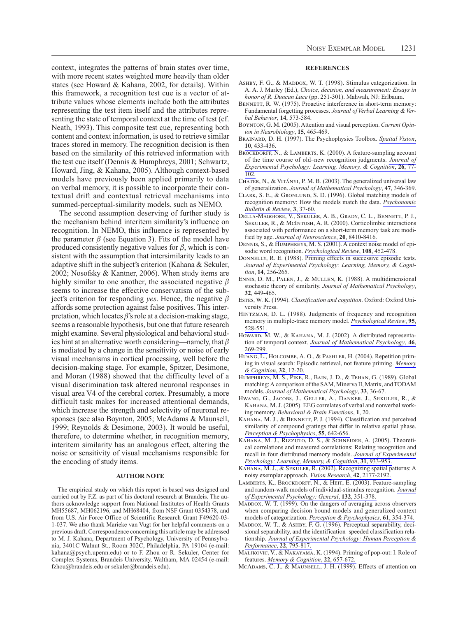context, integrates the patterns of brain states over time, with more recent states weighted more heavily than older states (see Howard & Kahana, 2002, for details). Within this framework, a recognition test cue is a vector of attribute values whose elements include both the attributes representing the test item itself and the attributes representing the state of temporal context at the time of test (cf. Neath, 1993). This composite test cue, representing both content and context information, is used to retrieve similar traces stored in memory. The recognition decision is then based on the similarity of this retrieved information with the test cue itself (Dennis & Humphreys, 2001; Schwartz, Howard, Jing, & Kahana, 2005). Although context-based models have previously been applied primarily to data on verbal memory, it is possible to incorporate their contextual drift and contextual retrieval mechanisms into summed-perceptual-similarity models, such as NEMO.

The second assumption deserving of further study is the mechanism behind interitem similarity's influence on recognition. In NEMO, this influence is represented by the parameter  $\beta$  (see Equation 3). Fits of the model have produced consistently negative values for  $\beta$ , which is consistent with the assumption that intersimilarity leads to an adaptive shift in the subject's criterion (Kahana & Sekuler, 2002; Nosofsky & Kantner, 2006). When study items are highly similar to one another, the associated negative  $\beta$ seems to increase the effective conservatism of the subject's criterion for responding yes. Hence, the negative  $\beta$ affords some protection against false positives. This interpretation, which locates  $\beta$ 's role at a decision-making stage, seems a reasonable hypothesis, but one that future research might examine. Several physiological and behavioral studies hint at an alternative worth considering—namely, that  $\beta$ is mediated by a change in the sensitivity or noise of early visual mechanisms in cortical processing, well before the decision-making stage. For example, Spitzer, Desimone, and Moran (1988) showed that the difficulty level of a visual discrimination task altered neuronal responses in visual area V4 of the cerebral cortex. Presumably, a more difficult task makes for increased attentional demands, which increase the strength and selectivity of neuronal responses (see also Boynton, 2005; McAdams & Maunsell, 1999; Reynolds & Desimone, 2003). It would be useful, therefore, to determine whether, in recognition memory, interitem similarity has an analogous effect, altering the noise or sensitivity of visual mechanisms responsible for the encoding of study items.

## **AUTHOR NOTE**

The empirical study on which this report is based was designed and carried out by F.Z. as part of his doctoral research at Brandeis. The authors acknowledge support from National Institutes of Health Grants MH55687, MH062196, and MH68404, from NSF Grant 0354378, and from U.S. Air Force Office of Scientific Research Grant F49620-03-1-037. We also thank Marieke van Vugt for her helpful comments on a previous draft. Correspondence concerning this article may be addressed to M. J. Kahana, Department of Psychology, University of Pennsylvania, 3401C Walnut St., Room 302C, Philadelphia, PA 19104 (e-mail: kahana@psych.upenn.edu) or to F. Zhou or R. Sekuler, Center for Complex Systems, Brandeis University, Waltham, MA 02454 (e-mail: fzhou@brandeis.edu or sekuler@brandeis.edu).

#### **REFERENCES**

- ASHBY, F. G., & MADDOX, W. T. (1998). Stimulus categorization. In A. A. J. Marley (Ed.), Choice, decision, and measurement: Essays in honor of R. Duncan Luce (pp. 251-301). Mahwah, NJ: Erlbaum.
- BENNETT, R. W. (1975). Proactive interference in short-term memory: Fundamental forgetting processes. Journal of Verbal Learning & Verbal Behavior, 14, 573-584.
- BOYNTON, G. M. (2005). Attention and visual perception. Current Opinion in Neurobiology, 15, 465-469.
- BRAINARD, D. H. (1997). The Psychophysics Toolbox. Spatial Vision, 10, 433-436.
- BROCKDORFF, N., & LAMBERTS, K. (2000). A feature-sampling account of the time course of old-new recognition judgments. Journal of Experimental Psychology: Learning, Memory, & Cognition, 26, 77-102.
- CHATER, N., & VITÁNYI, P. M. B. (2003). The generalized universal law of generalization. Journal of Mathematical Psychology, 47, 346-369.
- CLARK, S. E., & GRONLUND, S. D. (1996). Global matching models of recognition memory: How the models match the data. Psychonomic Bulletin & Review, 3, 37-60.
- DELLA-MAGGIORE, V., SEKULER, A. B., GRADY, C. L., BENNETT, P. J., SEKULER, R., & MCINTOSH, A. R. (2000). Corticolimbic interactions associated with performance on a short-term memory task are modified by age. Journal of Neuroscience, 20, 8410-8416.
- DENNIS, S., & HUMPHREYS, M. S. (2001). A context noise model of episodic word recognition. Psychological Review, 108, 452-478.
- DONNELLY, R. E. (1988). Priming effects in successive episodic tests. Journal of Experimental Psychology: Learning, Memory, & Cognition, 14, 256-265.
- ENNIS, D. M., PALEN, J., & MULLEN, K. (1988). A multidimensional stochastic theory of similarity. Journal of Mathematical Psychology, 32, 449-465.
- ESTES, W. K. (1994). Classification and cognition. Oxford: Oxford University Press.
- HINTZMAN, D. L. (1988). Judgments of frequency and recognition memory in multiple-trace memory model. Psychological Review, 95, 528-551.
- HOWARD, M. W., & KAHANA, M. J. (2002). A distributed representation of temporal context. Journal of Mathematical Psychology, 46, 269-299.
- HUANG, L., HOLCOMBE, A. O., & PASHLER, H. (2004). Repetition priming in visual search: Episodic retrieval, not feature priming. Memory & Cognition, 32, 12-20.
- HUMPHREYS, M. S., PIKE, R., BAIN, J. D., & TEHAN, G. (1989). Global matching: A comparison of the SAM, Minerva II, Matrix, and TODAM models. Journal of Mathematical Psychology, 33, 36-67.
- HWANG, G., JACOBS, J., GELLER, A., DANKER, J., SEKULER, R., & KAHANA, M. J. (2005). EEG correlates of verbal and nonverbal working memory. Behavioral & Brain Functions, 1, 20.
- KAHANA, M. J., & BENNETT, P. J. (1994). Classification and perceived similarity of compound gratings that differ in relative spatial phase. Perception & Psychophysics, 55, 642-656.
- KAHANA, M. J., RIZZUTO, D. S., & SCHNEIDER, A. (2005). Theoretical correlations and measured correlations: Relating recognition and recall in four distributed memory models. Journal of Experimental Psychology: Learning, Memory, & Cognition, 31, 933-953.
- KAHANA, M. J., & SEKULER, R. (2002). Recognizing spatial patterns: A noisy exemplar approach. Vision Research, 42, 2177-2192.
- LAMBERTS, K., BROCKDORFF, N., & HEIT, E. (2003). Feature-sampling and random-walk models of individual-stimulus recognition. Journal of Experimental Psychology: General, 132, 351-378.
- MADDOX, W. T. (1999). On the dangers of averaging across observers when comparing decision bound models and generalized context models of categorization. Perception & Psychophysics, 61, 354-374.
- MADDOX, W. T., & ASHBY, F. G. (1996). Perceptual separability, decisional separability, and the identification-speeded classification relationship. Journal of Experimental Psychology: Human Perception & Performance, 22, 795-817.
- MALJKOVIC, V., & NAKAYAMA, K. (1994). Priming of pop-out: I. Role of features. Memory & Cognition, 22, 657-672.
- MCADAMS, C. J., & MAUNSELL, J. H. (1999). Effects of attention on